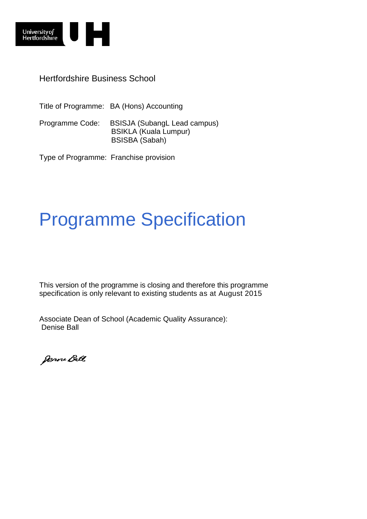

Hertfordshire Business School

Title of Programme: BA (Hons) Accounting Programme Code: BSISJA (SubangL Lead campus) BSIKLA (Kuala Lumpur) BSISBA (Sabah)

Type of Programme: Franchise provision

# Programme Specification

This version of the programme is closing and therefore this programme specification is only relevant to existing students as at August 2015

Associate Dean of School (Academic Quality Assurance): Denise Ball

Denne Ball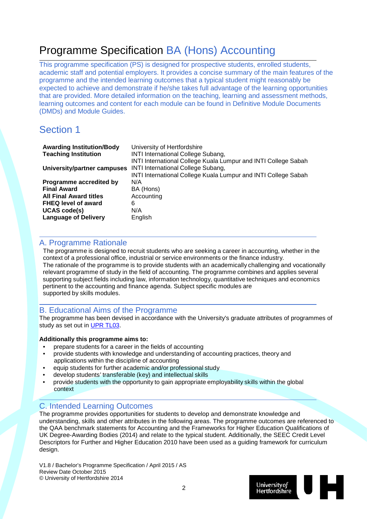## Programme Specification BA (Hons) Accounting

This programme specification (PS) is designed for prospective students, enrolled students, academic staff and potential employers. It provides a concise summary of the main features of the programme and the intended learning outcomes that a typical student might reasonably be expected to achieve and demonstrate if he/she takes full advantage of the learning opportunities that are provided. More detailed information on the teaching, learning and assessment methods, learning outcomes and content for each module can be found in Definitive Module Documents (DMDs) and Module Guides.

### Section 1

| University of Hertfordshire                                    |
|----------------------------------------------------------------|
| <b>INTI International College Subang,</b>                      |
| INTI International College Kuala Lumpur and INTI College Sabah |
| <b>INTI International College Subang,</b>                      |
| INTI International College Kuala Lumpur and INTI College Sabah |
| N/A                                                            |
| BA (Hons)                                                      |
| Accounting                                                     |
| 6                                                              |
| N/A                                                            |
| English                                                        |
|                                                                |

#### A. Programme Rationale

The programme is designed to recruit students who are seeking a career in accounting, whether in the context of a professional office, industrial or service environments or the finance industry. The rationale of the programme is to provide students with an academically challenging and vocationally relevant programme of study in the field of accounting. The programme combines and applies several supporting subject fields including law, information technology, quantitative techniques and economics pertinent to the accounting and finance agenda. Subject specific modules are supported by skills modules.

#### B. Educational Aims of the Programme

The programme has been devised in accordance with the University's graduate attributes of programmes of study as set out in [UPR TL03.](http://sitem.herts.ac.uk/secreg/upr/TL03.htm)

#### **Additionally this programme aims to:**

- prepare students for a career in the fields of accounting
- provide students with knowledge and understanding of accounting practices, theory and applications within the discipline of accounting
- equip students for further academic and/or professional study
- develop students' transferable (key) and intellectual skills
- provide students with the opportunity to gain appropriate employability skills within the global context

### C. Intended Learning Outcomes

The programme provides opportunities for students to develop and demonstrate knowledge and understanding, skills and other attributes in the following areas. The programme outcomes are referenced to the QAA benchmark statements for Accounting and the Frameworks for Higher Education Qualifications of UK Degree-Awarding Bodies (2014) and relate to the typical student. Additionally, the SEEC Credit Level Descriptors for Further and Higher Education 2010 have been used as a guiding framework for curriculum design.

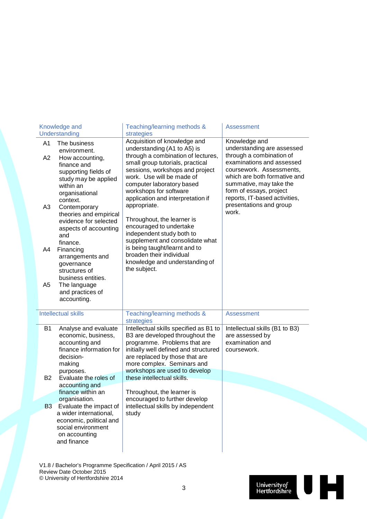|                | Knowledge and<br>Understanding                                                                                                    | Teaching/learning methods &<br>strategies                                                                                                                                                                                                           | <b>Assessment</b>                                                                                                                                                                                        |
|----------------|-----------------------------------------------------------------------------------------------------------------------------------|-----------------------------------------------------------------------------------------------------------------------------------------------------------------------------------------------------------------------------------------------------|----------------------------------------------------------------------------------------------------------------------------------------------------------------------------------------------------------|
| A1             | The business<br>environment.                                                                                                      | Acquisition of knowledge and<br>understanding (A1 to A5) is                                                                                                                                                                                         | Knowledge and<br>understanding are assessed                                                                                                                                                              |
| A2             | How accounting,<br>finance and<br>supporting fields of<br>study may be applied<br>within an<br>organisational<br>context.         | through a combination of lectures,<br>small group tutorials, practical<br>sessions, workshops and project<br>work. Use will be made of<br>computer laboratory based<br>workshops for software<br>application and interpretation if                  | through a combination of<br>examinations and assessed<br>coursework. Assessments,<br>which are both formative and<br>summative, may take the<br>form of essays, project<br>reports, IT-based activities, |
| A <sub>3</sub> | Contemporary<br>theories and empirical<br>evidence for selected<br>aspects of accounting<br>and<br>finance.                       | appropriate.<br>Throughout, the learner is<br>encouraged to undertake<br>independent study both to<br>supplement and consolidate what                                                                                                               | presentations and group<br>work.                                                                                                                                                                         |
| A4             | Financing<br>arrangements and<br>governance<br>structures of<br>business entities.                                                | is being taught/learnt and to<br>broaden their individual<br>knowledge and understanding of<br>the subject.                                                                                                                                         |                                                                                                                                                                                                          |
| A <sub>5</sub> | The language<br>and practices of<br>accounting.                                                                                   |                                                                                                                                                                                                                                                     |                                                                                                                                                                                                          |
|                | <b>Intellectual skills</b>                                                                                                        | Teaching/learning methods &<br>strategies                                                                                                                                                                                                           | <b>Assessment</b>                                                                                                                                                                                        |
| <b>B1</b>      | Analyse and evaluate<br>economic, business,<br>accounting and<br>finance information for<br>decision-<br>making<br>purposes.      | Intellectual skills specified as B1 to<br>B3 are developed throughout the<br>programme. Problems that are<br>initially well defined and structured<br>are replaced by those that are<br>more complex. Seminars and<br>workshops are used to develop | Intellectual skills (B1 to B3)<br>are assessed by<br>examination and<br>coursework.                                                                                                                      |
| <b>B2</b>      | Evaluate the roles of<br>accounting and<br>finance within an                                                                      | these intellectual skills.                                                                                                                                                                                                                          |                                                                                                                                                                                                          |
|                | organisation.                                                                                                                     | Throughout, the learner is<br>encouraged to further develop                                                                                                                                                                                         |                                                                                                                                                                                                          |
| <b>B3</b>      | Evaluate the impact of<br>a wider international,<br>economic, political and<br>social environment<br>on accounting<br>and finance | intellectual skills by independent<br>study                                                                                                                                                                                                         |                                                                                                                                                                                                          |

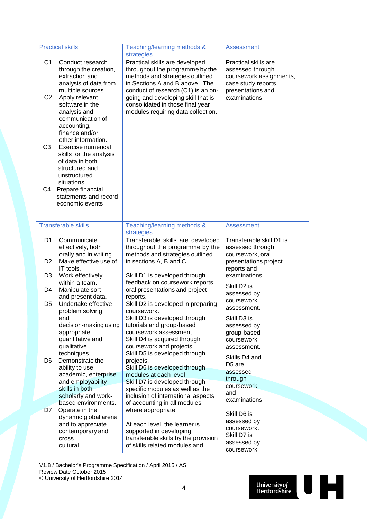|                                  | <b>Practical skills</b>                                                                                                                                                                           | Teaching/learning methods &<br>strategies                                                                                                                                                                                                                                                    | <b>Assessment</b>                                                                                                                |
|----------------------------------|---------------------------------------------------------------------------------------------------------------------------------------------------------------------------------------------------|----------------------------------------------------------------------------------------------------------------------------------------------------------------------------------------------------------------------------------------------------------------------------------------------|----------------------------------------------------------------------------------------------------------------------------------|
| C <sub>1</sub><br>C <sub>2</sub> | Conduct research<br>through the creation,<br>extraction and<br>analysis of data from<br>multiple sources.<br>Apply relevant<br>software in the<br>analysis and<br>communication of<br>accounting, | Practical skills are developed<br>throughout the programme by the<br>methods and strategies outlined<br>in Sections A and B above. The<br>conduct of research (C1) is an on-<br>going and developing skill that is<br>consolidated in those final year<br>modules requiring data collection. | Practical skills are<br>assessed through<br>coursework assignments,<br>case study reports,<br>presentations and<br>examinations. |
| C <sub>3</sub>                   | finance and/or<br>other information.<br>Exercise numerical<br>skills for the analysis<br>of data in both<br>structured and                                                                        |                                                                                                                                                                                                                                                                                              |                                                                                                                                  |
| C4                               | unstructured<br>situations.<br>Prepare financial<br>statements and record<br>economic events                                                                                                      |                                                                                                                                                                                                                                                                                              |                                                                                                                                  |
|                                  | <b>Transferable skills</b>                                                                                                                                                                        | Teaching/learning methods &<br>strategies                                                                                                                                                                                                                                                    | <b>Assessment</b>                                                                                                                |
| D1                               | Communicate<br>effectively, both<br>orally and in writing                                                                                                                                         | Transferable skills are developed<br>throughout the programme by the<br>methods and strategies outlined                                                                                                                                                                                      | Transferable skill D1 is<br>assessed through<br>coursework, oral                                                                 |
| D <sub>2</sub>                   | Make effective use of<br>IT tools.                                                                                                                                                                | in sections A, B and C.                                                                                                                                                                                                                                                                      | presentations project<br>reports and                                                                                             |
| D <sub>3</sub>                   | Work effectively<br>within a team.                                                                                                                                                                | Skill D1 is developed through<br>feedback on coursework reports,                                                                                                                                                                                                                             | examinations.                                                                                                                    |
| D4                               | Manipulate sort                                                                                                                                                                                   | oral presentations and project                                                                                                                                                                                                                                                               | Skill D <sub>2</sub> is<br>assessed by                                                                                           |
| D <sub>5</sub>                   | and present data.<br>Undertake effective                                                                                                                                                          | reports.<br>Skill D2 is developed in preparing                                                                                                                                                                                                                                               | coursework<br>assessment.                                                                                                        |
|                                  | problem solving<br>and<br>decision-making using<br>appropriate<br>quantitative and<br>qualitative<br>techniques.                                                                                  | coursework.<br>Skill D3 is developed through<br>tutorials and group-based<br>coursework assessment.<br>Skill D4 is acquired through<br>coursework and projects.<br>Skill D5 is developed through                                                                                             | Skill D3 is<br>assessed by<br>group-based<br>coursework<br>assessment.<br>Skills D4 and                                          |
| D <sub>6</sub>                   | Demonstrate the<br>ability to use                                                                                                                                                                 | projects.<br>Skill D6 is developed through                                                                                                                                                                                                                                                   | D <sub>5</sub> are                                                                                                               |
|                                  | academic, enterprise<br>and employability                                                                                                                                                         | modules at each level<br>Skill D7 is developed through                                                                                                                                                                                                                                       | assessed<br>through                                                                                                              |
|                                  | skills in both                                                                                                                                                                                    | specific modules as well as the                                                                                                                                                                                                                                                              | coursework<br>and                                                                                                                |
|                                  | scholarly and work-<br>based environments.                                                                                                                                                        | inclusion of international aspects<br>of accounting in all modules                                                                                                                                                                                                                           | examinations.                                                                                                                    |
| D7                               | Operate in the<br>dynamic global arena<br>and to appreciate<br>contemporary and<br><b>Cross</b><br>cultural                                                                                       | where appropriate.<br>At each level, the learner is<br>supported in developing<br>transferable skills by the provision<br>of skills related modules and                                                                                                                                      | Skill D6 is<br>assessed by<br>coursework.<br>Skill D7 is<br>assessed by<br>coursework                                            |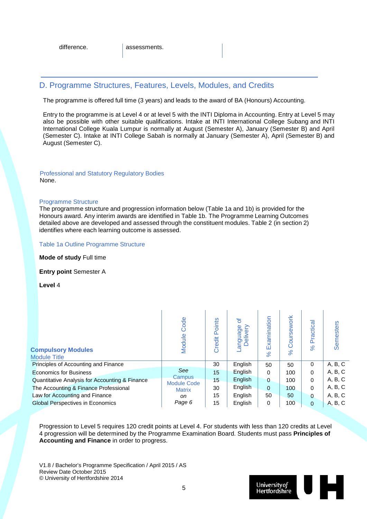#### D. Programme Structures, Features, Levels, Modules, and Credits

The programme is offered full time (3 years) and leads to the award of BA (Honours) Accounting.

Entry to the programme is at Level 4 or at level 5 with the INTI Diploma in Accounting. Entry at Level 5 may also be possible with other suitable qualifications. Intake at INTI International College Subang and INTI International College Kuala Lumpur is normally at August (Semester A), January (Semester B) and April (Semester C). Intake at INTI College Sabah is normally at January (Semester A), April (Semester B) and August (Semester C).

#### Professional and Statutory Regulatory Bodies None.

#### Programme Structure

The programme structure and progression information below (Table 1a and 1b) is provided for the Honours award. Any interim awards are identified in Table 1b. The Programme Learning Outcomes detailed above are developed and assessed through the constituent modules. Table 2 (in section 2) identifies where each learning outcome is assessed.

#### Table 1a Outline Programme Structure

**Mode of study** Full time

**Entry point** Semester A

**Level** 4

| <b>Compulsory Modules</b><br><b>Module Title</b> | Code<br>Module                      | Points<br>Credit | ð<br>anguage<br>elivery | Examination<br>$\aleph$ | ork<br>rsew<br>వి | ractical<br>$\Omega$<br>$\aleph$ | Semesters |
|--------------------------------------------------|-------------------------------------|------------------|-------------------------|-------------------------|-------------------|----------------------------------|-----------|
| Principles of Accounting and Finance             |                                     | 30               | English                 | 50                      | 50                | 0                                | A, B, C   |
| <b>Economics for Business</b>                    | See                                 | 15               | English                 | 0                       | 100               | $\Omega$                         | A, B, C   |
| Quantitative Analysis for Accounting & Finance   | <b>Campus</b><br><b>Module Code</b> | 15               | English                 | 0                       | 100               | $\Omega$                         | A, B, C   |
| The Accounting & Finance Professional            | <b>Matrix</b>                       | 30               | English                 | 0                       | 100               | $\Omega$                         | A, B, C   |
| Law for Accounting and Finance                   | on                                  | 15               | English                 | 50                      | 50                | $\Omega$                         | A, B, C   |
| <b>Global Perspectives in Economics</b>          | Page 6                              | 15               | English                 | 0                       | 100               | $\Omega$                         | A, B, C   |

Progression to Level 5 requires 120 credit points at Level 4. For students with less than 120 credits at Level 4 progression will be determined by the Programme Examination Board. Students must pass **Principles of Accounting and Finance** in order to progress.

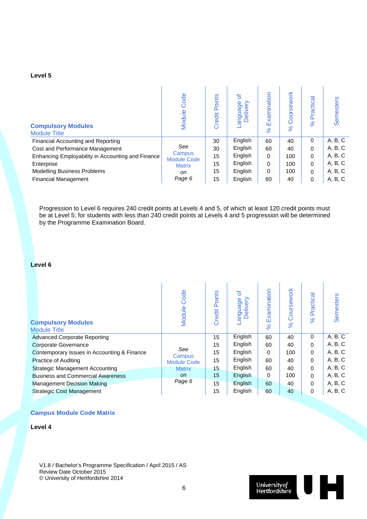#### **Level 5**

| <b>Compulsory Modules</b><br><b>Module Title</b>  | Code<br>Module               | Points<br>Credit | ৳<br>uage<br>live<br><b>Del</b> | Examination<br>$\aleph$ | oursework<br>Ō<br>$\aleph$ | Practica<br>ಸ | <b>Semesters</b> |
|---------------------------------------------------|------------------------------|------------------|---------------------------------|-------------------------|----------------------------|---------------|------------------|
| Financial Accounting and Reporting                |                              | 30               | English                         | 60                      | 40                         | 0             | A, B, C          |
| Cost and Performance Management                   | See                          | 30               | English                         | 60                      | 40                         | 0             | A, B, C          |
| Enhancing Employability in Accounting and Finance | Campus<br><b>Module Code</b> | 15               | English                         | $\Omega$                | 100                        | 0             | A, B, C          |
| Enterprise                                        | <b>Matrix</b>                | 15               | English                         | 0                       | 100                        | 0             | A, B, C          |
| <b>Modelling Business Problems</b>                | on                           | 15               | English                         | 0                       | 100                        | 0             | A, B, C          |
| <b>Financial Management</b>                       | Page 6                       | 15               | English                         | 60                      | 40                         | 0             | A, B, C          |

Progression to Level 6 requires 240 credit points at Levels 4 and 5, of which at least 120 credit points must be at Level 5; for students with less than 240 credit points at Levels 4 and 5 progression will be determined by the Programme Examination Board.

#### **Level 6**

| <b>Compulsory Modules</b><br><b>Module Title</b> | Code<br>Module     | Points<br>Credit | ৳<br>anguage<br>Delivery | Examination<br>$\aleph$ | oursework<br>$\circ$<br>$\aleph$ | Practical<br>$\%$ | <b>Semesters</b> |
|--------------------------------------------------|--------------------|------------------|--------------------------|-------------------------|----------------------------------|-------------------|------------------|
| Advanced Corporate Reporting                     |                    | 15               | English                  | 60                      | 40                               | 0                 | A, B, C          |
| <b>Corporate Governance</b>                      |                    | 15               | English                  | 60                      | 40                               | 0                 | A, B, C          |
| Contemporary Issues in Accounting & Finance      | See<br>Campus      | 15               | English                  | 0                       | 100                              | 0                 | A, B, C          |
| <b>Practice of Auditing</b>                      | <b>Module Code</b> | 15               | English                  | 60                      | 40                               | 0                 | A, B, C          |
| <b>Strategic Management Accounting</b>           | <b>Matrix</b>      | 15               | English                  | 60                      | 40                               | 0                 | A, B, C          |
| <b>Business and Commercial Awareness</b>         | on.                | 15               | English                  | 0                       | 100                              | 0                 | A, B, C          |
| <b>Management Decision Making</b>                | Page 6             | 15               | English                  | 60                      | 40                               | 0                 | A, B, C          |
| <b>Strategic Cost Management</b>                 |                    | 15               | English                  | 60                      | 40                               | 0                 | A, B, C          |

#### **Campus Module Code Matrix**

#### **Level 4**

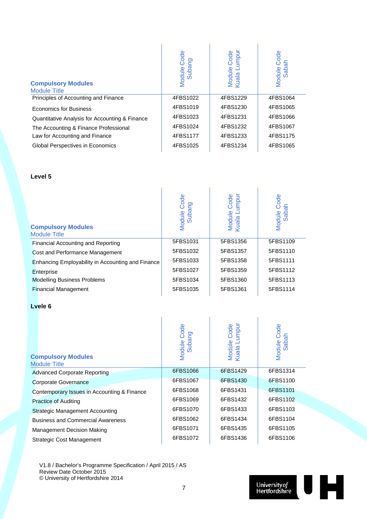| <b>Compulsory Modules</b><br><b>Module Title</b> | Code<br>Module Co | Module Code<br>Kuala Lumpur<br>umpur | Code<br>Module Co |
|--------------------------------------------------|-------------------|--------------------------------------|-------------------|
| Principles of Accounting and Finance             | 4FBS1022          | 4FBS1229                             | 4FBS1064          |
| <b>Economics for Business</b>                    | 4FBS1019          | 4FBS1230                             | 4FBS1065          |
| Quantitative Analysis for Accounting & Finance   | 4FBS1023          | 4FBS1231                             | 4FBS1066          |
| The Accounting & Finance Professional            | 4FBS1024          | 4FBS1232                             | 4FBS1067          |
| Law for Accounting and Finance                   | 4FBS1177          | 4FBS1233                             | 4FBS1175          |
| <b>Global Perspectives in Economics</b>          | 4FBS1025          | 4FBS1234                             | 4FBS1065          |

#### **Level 5**

| <b>Compulsory Modules</b><br><b>Module Title</b>  | Code<br>Module Co | Module Code<br>Kuala Lumpur<br>umpur | Code<br>Module Co |
|---------------------------------------------------|-------------------|--------------------------------------|-------------------|
| <b>Financial Accounting and Reporting</b>         | 5FBS1031          | 5FBS1356                             | 5FBS1109          |
| Cost and Performance Management                   | 5FBS1032          | 5FBS1357                             | 5FBS1110          |
| Enhancing Employability in Accounting and Finance | 5FBS1033          | 5FBS1358                             | 5FBS1111          |
| Enterprise                                        | 5FBS1027          | 5FBS1359                             | 5FBS1112          |
| <b>Modelling Business Problems</b>                | 5FBS1034          | 5FBS1360                             | 5FBS1113          |
| <b>Financial Management</b>                       | 5FBS1035          | 5FBS1361                             | 5FBS1114          |

#### **Lvele 6**

| <b>Compulsory Modules</b><br><b>Module Title</b> | Code<br>Module Coo | umpur<br>Code<br>Module<br>Kuala Lu | Code<br>Module Co |
|--------------------------------------------------|--------------------|-------------------------------------|-------------------|
| <b>Advanced Corporate Reporting</b>              | 6FBS1066           | 6FBS1429                            | 6FBS1314          |
| <b>Corporate Governance</b>                      | 6FBS1067           | 6FBS1430                            | 6FBS1100          |
| Contemporary Issues in Accounting & Finance      | 6FBS1068           | 6FBS1431                            | 6FBS1101          |
| <b>Practice of Auditing</b>                      | 6FBS1069           | 6FBS1432                            | 6FBS1102          |
| <b>Strategic Management Accounting</b>           | 6FBS1070           | 6FBS1433                            | 6FBS1103          |
| <b>Business and Commercial Awareness</b>         | 6FBS1062           | 6FBS1434                            | 6FBS1104          |
| <b>Management Decision Making</b>                | 6FBS1071           | 6FBS1435                            | 6FBS1105          |
| <b>Strategic Cost Management</b>                 | 6FBS1072           | 6FBS1436                            | 6FBS1106          |

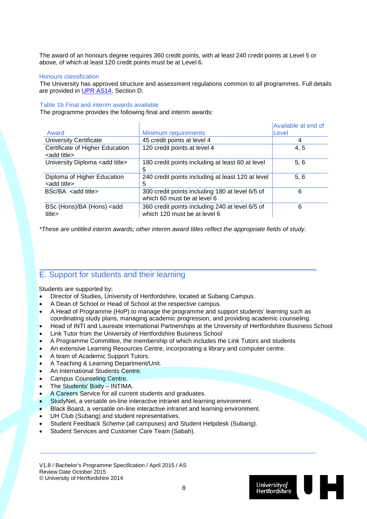The award of an honours degree requires 360 credit points, with at least 240 credit points at Level 5 or above, of which at least 120 credit points must be at Level 6.

#### Honours classification

The University has approved structure and assessment regulations common to all programmes. Full details are provided in [UPR AS14,](http://sitem.herts.ac.uk/secreg/upr/pdf/AS14-Structure%20and%20Assessment%20Regs%20-%20Undergrad%20and%20Taught%20Postgrad%20Programmes-v04%200.pdf) Section D.

#### Table 1b Final and interim awards available

The programme provides the following final and interim awards:

| Award                                                   | Minimum requirements                                                            | Available at end of<br>Level |
|---------------------------------------------------------|---------------------------------------------------------------------------------|------------------------------|
| <b>University Certificate</b>                           | 45 credit points at level 4                                                     | 4                            |
| Certificate of Higher Education<br><add title=""></add> | 120 credit points at level 4                                                    | 4, 5                         |
| University Diploma <add title=""></add>                 | 180 credit points including at least 60 at level<br>5                           | 5, 6                         |
| Diploma of Higher Education<br><add title=""></add>     | 240 credit points including at least 120 at level<br>5                          | 5, 6                         |
| $BSc/BA$ <add title=""></add>                           | 300 credit points including 180 at level 6/5 of<br>which 60 must be at level 6  | 6                            |
| BSc (Hons)/BA (Hons) <add<br>title&gt;</add<br>         | 360 credit points including 240 at level 6/5 of<br>which 120 must be at level 6 | 6                            |

*\*These are untitled interim awards; other interim award titles reflect the appropriate fields of study.*

#### E. Support for students and their learning

Students are supported by;

- Director of Studies, University of Hertfordshire, located at Subang Campus.
- A Dean of School or Head of School at the respective campus.
- A Head of Programme (HoP) to manage the programme and support students' learning such as coordinating study plans, managing academic progression, and providing academic counseling.
- Head of INTI and Laureate International Partnerships at the University of Hertfordshire Business School
- Link Tutor from the University of Hertfordshire Business School
- A Programme Committee, the membership of which includes the Link Tutors and students
- An extensive Learning Resources Centre, incorporating a library and computer centre.
- A team of Academic Support Tutors.
- A Teaching & Learning Department/Unit.
- An International Students Centre.
- Campus Counseling Centre.
- The Students' Body INTIMA.
- A Careers Service for all current students and graduates.
- StudyNet, a versatile on-line interactive intranet and learning environment.
- Black Board, a versatile on-line interactive intranet and learning environment.
- UH Club (Subang) and student representatives.
- Student Feedback Scheme (all campuses) and Student Helpdesk (Subang).
- Student Services and Customer Care Team (Sabah).

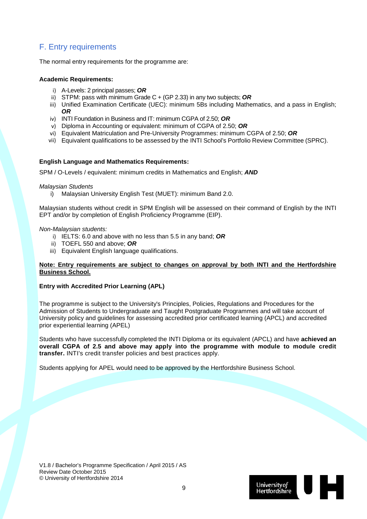### F. Entry requirements

The normal entry requirements for the programme are:

#### **Academic Requirements:**

- i) A-Levels: 2 principal passes; *OR*
- ii) STPM: pass with minimum Grade C + (GP 2.33) in any two subjects; *OR*
- iii) Unified Examination Certificate (UEC): minimum 5Bs including Mathematics, and a pass in English; *OR*
- iv) INTI Foundation in Business and IT: minimum CGPA of 2.50; *OR*
- v) Diploma in Accounting or equivalent: minimum of CGPA of 2.50; *OR*
- vi) Equivalent Matriculation and Pre-University Programmes: minimum CGPA of 2.50; *OR*
- vii) Equivalent qualifications to be assessed by the INTI School's Portfolio Review Committee (SPRC).

#### **English Language and Mathematics Requirements:**

SPM / O-Levels / equivalent: minimum credits in Mathematics and English; *AND*

#### *Malaysian Students*

i) Malaysian University English Test (MUET): minimum Band 2.0.

Malaysian students without credit in SPM English will be assessed on their command of English by the INTI EPT and/or by completion of English Proficiency Programme (EIP).

#### *Non-Malaysian students:*

- i) IELTS: 6.0 and above with no less than 5.5 in any band; *OR*
- ii) TOEFL 550 and above; *OR*
- iii) Equivalent English language qualifications.

#### **Note: Entry requirements are subject to changes on approval by both INTI and the Hertfordshire Business School.**

#### **Entry with Accredited Prior Learning (APL)**

The programme is subject to the University's Principles, Policies, Regulations and Procedures for the Admission of Students to Undergraduate and Taught Postgraduate Programmes and will take account of University policy and guidelines for assessing accredited prior certificated learning (APCL) and accredited prior experiential learning (APEL)

Students who have successfully completed the INTI Diploma or its equivalent (APCL) and have **achieved an overall CGPA of 2.5 and above may apply into the programme with module to module credit transfer.** INTI's credit transfer policies and best practices apply.

Students applying for APEL would need to be approved by the Hertfordshire Business School.

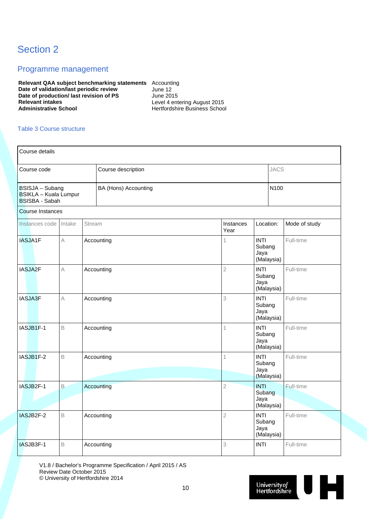## Section 2

#### Programme management

**Relevant QAA subject benchmarking statements** Accounting **Date of validation/last periodic review Fig. 12** June 12 **Date of production/ last revision of PS** June 2015<br>Relevant intakes Level 4 ent **Relevant intakes**<br> **Administrative School**<br> **Administrative School**<br> **Administrative School**<br> **Administrative School** 

**Administrative School** Hertfordshire Business School

#### Table 3 Course structure

| Course details                                                                                   |             |        |            |                   |                                             |             |               |  |
|--------------------------------------------------------------------------------------------------|-------------|--------|------------|-------------------|---------------------------------------------|-------------|---------------|--|
| Course description<br>Course code                                                                |             |        |            |                   |                                             | <b>JACS</b> |               |  |
| BSISJA - Subang<br>BA (Hons) Accounting<br><b>BSIKLA - Kuala Lumpur</b><br><b>BSISBA - Sabah</b> |             |        |            |                   |                                             | N100        |               |  |
| <b>Course Instances</b>                                                                          |             |        |            |                   |                                             |             |               |  |
| Instances code                                                                                   | Intake      | Stream |            | Instances<br>Year | Location:                                   |             | Mode of study |  |
| IASJA1F                                                                                          | $\wedge$    |        | Accounting | 1                 | <b>INTI</b><br>Subang<br>Jaya<br>(Malaysia) |             | Full-time     |  |
| IASJA2F                                                                                          | $\wedge$    |        | Accounting | $\overline{2}$    | <b>INTI</b><br>Subang<br>Jaya               | (Malaysia)  | Full-time     |  |
| IASJA3F                                                                                          | A           |        | Accounting | 3                 | <b>INTI</b><br>Subang<br>Jaya<br>(Malaysia) |             | Full-time     |  |
| IASJB1F-1                                                                                        | B           |        | Accounting | 1                 | <b>INTI</b><br>Subang<br>Jaya               | (Malaysia)  | Full-time     |  |
| IASJB1F-2                                                                                        | $\mathsf B$ |        | Accounting | 1                 | <b>INTI</b><br>Subang<br>Jaya<br>(Malaysia) |             | Full-time     |  |
| IASJB2F-1                                                                                        | $\mathsf B$ |        | Accounting | $\overline{2}$    | <b>INTI</b><br>Subang<br>Jaya               | (Malaysia)  | Full-time     |  |
| IASJB2F-2                                                                                        | $\mathsf B$ |        | Accounting | $\overline{2}$    | <b>INTI</b><br>Subang<br>Jaya<br>(Malaysia) |             | Full-time     |  |
| IASJB3F-1                                                                                        | B           |        | Accounting | 3                 | <b>INTI</b>                                 |             | Full-time     |  |

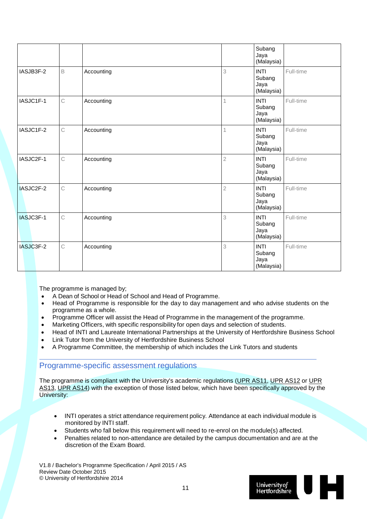|           |              |            |                | Subang<br>Jaya<br>(Malaysia)                |           |
|-----------|--------------|------------|----------------|---------------------------------------------|-----------|
| IASJB3F-2 | $\mathsf B$  | Accounting | 3              | <b>INTI</b><br>Subang<br>Jaya<br>(Malaysia) | Full-time |
| IASJC1F-1 | $\mathsf C$  | Accounting |                | <b>INTI</b><br>Subang<br>Jaya<br>(Malaysia) | Full-time |
| IASJC1F-2 | C            | Accounting |                | <b>INTI</b><br>Subang<br>Jaya<br>(Malaysia) | Full-time |
| IASJC2F-1 | $\mathsf{C}$ | Accounting | $\overline{2}$ | <b>INTI</b><br>Subang<br>Jaya<br>(Malaysia) | Full-time |
| IASJC2F-2 | $\mathsf C$  | Accounting | $\overline{2}$ | <b>INTI</b><br>Subang<br>Jaya<br>(Malaysia) | Full-time |
| IASJC3F-1 | $\mathsf{C}$ | Accounting | 3              | <b>INTI</b><br>Subang<br>Jaya<br>(Malaysia) | Full-time |
| IASJC3F-2 | $\mathsf{C}$ | Accounting | 3              | <b>INTI</b><br>Subang<br>Jaya<br>(Malaysia) | Full-time |

The programme is managed by:

- A Dean of School or Head of School and Head of Programme.
- Head of Programme is responsible for the day to day management and who advise students on the programme as a whole.
- Programme Officer will assist the Head of Programme in the management of the programme.
- Marketing Officers, with specific responsibility for open days and selection of students.
- Head of INTI and Laureate International Partnerships at the University of Hertfordshire Business School
- Link Tutor from the University of Hertfordshire Business School
- A Programme Committee, the membership of which includes the Link Tutors and students

#### Programme-specific assessment regulations

The programme is compliant with the University's academic regulations [\(UPR AS11,](http://sitem.herts.ac.uk/secreg/upr/AS11.htm) [UPR AS12](http://sitem.herts.ac.uk/secreg/upr/AS12.htm) or [UPR](http://sitem.herts.ac.uk/secreg/upr/AS13.htm)  [AS13,](http://sitem.herts.ac.uk/secreg/upr/AS13.htm) [UPR AS14\)](http://sitem.herts.ac.uk/secreg/upr/AS14.htm) with the exception of those listed below, which have been specifically approved by the University:

- INTI operates a strict attendance requirement policy. Attendance at each individual module is monitored by INTI staff.
- Students who fall below this requirement will need to re-enrol on the module(s) affected.
- Penalties related to non-attendance are detailed by the campus documentation and are at the discretion of the Exam Board.

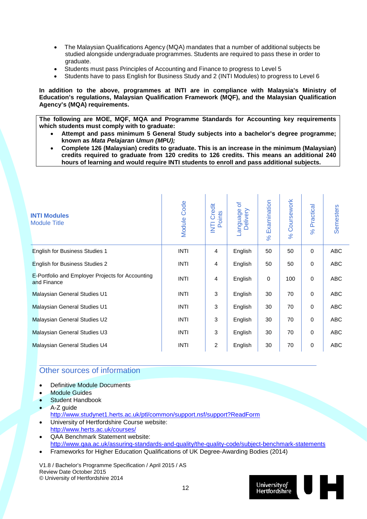- The Malaysian Qualifications Agency (MQA) mandates that a number of additional subjects be studied alongside undergraduate programmes. Students are required to pass these in order to graduate.
- Students must pass Principles of Accounting and Finance to progress to Level 5
- Students have to pass English for Business Study and 2 (INTI Modules) to progress to Level 6

**In addition to the above, programmes at INTI are in compliance with Malaysia's Ministry of Education's regulations, Malaysian Qualification Framework (MQF), and the Malaysian Qualification Agency's (MQA) requirements.** 

**The following are MOE, MQF, MQA and Programme Standards for Accounting key requirements which students must comply with to graduate:**

- **Attempt and pass minimum 5 General Study subjects into a bachelor's degree programme; known as** *Mata Pelajaran Umun (MPU);*
- **Complete 126 (Malaysian) credits to graduate. This is an increase in the minimum (Malaysian) credits required to graduate from 120 credits to 126 credits. This means an additional 240 hours of learning and would require INTI students to enroll and pass additional subjects.**

| <b>INTI Modules</b><br><b>Module Title</b>                      | Module Code | Credit<br>Points<br>E | đ<br>anguage<br>Delivery | Examination<br>$\aleph$ | Coursework<br>$\aleph$ | Practical<br>$\%$ | <b>Semesters</b> |
|-----------------------------------------------------------------|-------------|-----------------------|--------------------------|-------------------------|------------------------|-------------------|------------------|
| <b>English for Business Studies 1</b>                           | <b>INTI</b> | $\overline{4}$        | English                  | 50                      | 50                     | $\mathbf 0$       | <b>ABC</b>       |
| English for Business Studies 2                                  | <b>INTI</b> | $\overline{4}$        | English                  | 50                      | 50                     | $\mathbf 0$       | <b>ABC</b>       |
| E-Portfolio and Employer Projects for Accounting<br>and Finance | <b>INTI</b> | $\overline{4}$        | English                  | 0                       | 100                    | $\mathbf 0$       | <b>ABC</b>       |
| Malaysian General Studies U1                                    | INTI        | 3                     | English                  | 30                      | 70                     | $\mathbf 0$       | <b>ABC</b>       |
| Malaysian General Studies U1                                    | <b>INTI</b> | 3                     | English                  | 30                      | 70                     | $\mathbf 0$       | <b>ABC</b>       |
| Malaysian General Studies U2                                    | <b>INTI</b> | 3                     | English                  | 30                      | 70                     | $\mathbf 0$       | <b>ABC</b>       |
| Malaysian General Studies U3                                    | <b>INTI</b> | 3                     | English                  | 30                      | 70                     | $\mathbf 0$       | <b>ABC</b>       |
| Malaysian General Studies U4                                    | <b>INTI</b> | $\overline{2}$        | English                  | 30                      | 70                     | $\mathbf 0$       | <b>ABC</b>       |

#### Other sources of information

- Definitive Module Documents
- Module Guides
- Student Handbook
- A-Z quide
- <http://www.studynet1.herts.ac.uk/ptl/common/support.nsf/support?ReadForm> • University of Hertfordshire Course website:
- <http://www.herts.ac.uk/courses/> • QAA Benchmark Statement website:
- <http://www.qaa.ac.uk/assuring-standards-and-quality/the-quality-code/subject-benchmark-statements>
- Frameworks for Higher Education Qualifications of UK Degree-Awarding Bodies (2014)

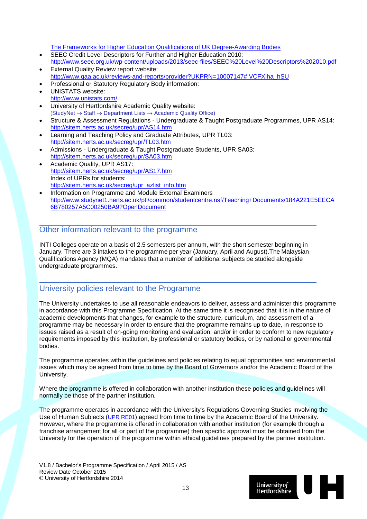[The Frameworks for Higher Education Qualifications of UK Degree-Awarding Bodies](http://www.qaa.ac.uk/publications/information-and-guidance/publication?PubID=2843#.VT8b6ZNH50F)

- SEEC Credit Level Descriptors for Further and Higher Education 2010: <http://www.seec.org.uk/wp-content/uploads/2013/seec-files/SEEC%20Level%20Descriptors%202010.pdf>
- **External Quality Review report website:** [http://www.qaa.ac.uk/reviews-and-reports/provider?UKPRN=10007147#.VCFXlha\\_hSU](http://www.qaa.ac.uk/reviews-and-reports/provider?UKPRN=10007147#.VCFXlha_hSU)
- Professional or Statutory Regulatory Body information: UNISTATS website:
- <http://www.unistats.com/>
- University of Hertfordshire Academic Quality website: (StudyNet → Staff → Department Lists → Academic Quality Office)
- Structure & Assessment Regulations Undergraduate & Taught Postgraduate Programmes, UPR AS14: <http://sitem.herts.ac.uk/secreg/upr/AS14.htm>
- Learning and Teaching Policy and Graduate Attributes, UPR TL03: <http://sitem.herts.ac.uk/secreg/upr/TL03.htm>
- Admissions Undergraduate & Taught Postgraduate Students, UPR SA03: <http://sitem.herts.ac.uk/secreg/upr/SA03.htm>
- Academic Quality, UPR AS17: <http://sitem.herts.ac.uk/secreg/upr/AS17.htm> Index of UPRs for students: [http://sitem.herts.ac.uk/secreg/upr\\_azlist\\_info.htm](http://sitem.herts.ac.uk/secreg/upr_azlist_info.htm)
- Information on Programme and Module External Examiners [http://www.studynet1.herts.ac.uk/ptl/common/studentcentre.nsf/Teaching+Documents/184A221E5EECA](http://www.studynet1.herts.ac.uk/ptl/common/studentcentre.nsf/Teaching+Documents/184A221E5EECA6B780257A5C00250BA9?OpenDocument) [6B780257A5C00250BA9?OpenDocument](http://www.studynet1.herts.ac.uk/ptl/common/studentcentre.nsf/Teaching+Documents/184A221E5EECA6B780257A5C00250BA9?OpenDocument)

#### Other information relevant to the programme

INTI Colleges operate on a basis of 2.5 semesters per annum, with the short semester beginning in January. There are 3 intakes to the programme per year (January, April and August).The Malaysian Qualifications Agency (MQA) mandates that a number of additional subjects be studied alongside undergraduate programmes.

### University policies relevant to the Programme

The University undertakes to use all reasonable endeavors to deliver, assess and administer this programme in accordance with this Programme Specification. At the same time it is recognised that it is in the nature of academic developments that changes, for example to the structure, curriculum, and assessment of a programme may be necessary in order to ensure that the programme remains up to date, in response to issues raised as a result of on-going monitoring and evaluation, and/or in order to conform to new regulatory requirements imposed by this institution, by professional or statutory bodies, or by national or governmental bodies.

The programme operates within the guidelines and policies relating to equal opportunities and environmental issues which may be agreed from time to time by the Board of Governors and/or the Academic Board of the University.

Where the programme is offered in collaboration with another institution these policies and guidelines will normally be those of the partner institution.

The programme operates in accordance with the University's Regulations Governing Studies Involving the Use of Human Subjects [\(UPR RE01\)](http://sitem.herts.ac.uk/secreg/upr/RE01.htm) agreed from time to time by the Academic Board of the University. However, where the programme is offered in collaboration with another institution (for example through a franchise arrangement for all or part of the programme) then specific approval must be obtained from the University for the operation of the programme within ethical guidelines prepared by the partner institution.

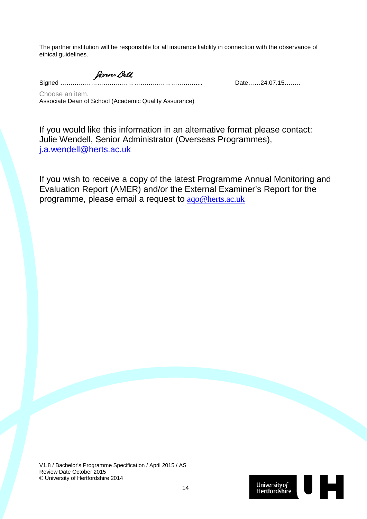The partner institution will be responsible for all insurance liability in connection with the observance of ethical guidelines.

Janne Ball

Signed ………………………………………………………….... Date……24.07.15……..

Choose an item. Associate Dean of School (Academic Quality Assurance)

If you would like this information in an alternative format please contact: Julie Wendell, Senior Administrator (Overseas Programmes), [j.a.wendell@herts.ac.uk](mailto:j.a.wendell@herts.ac.uk)

If you wish to receive a copy of the latest Programme Annual Monitoring and Evaluation Report (AMER) and/or the External Examiner's Report for the programme, please email a request to [aqo@herts.ac.uk](mailto:aqo@herts.ac.uk)

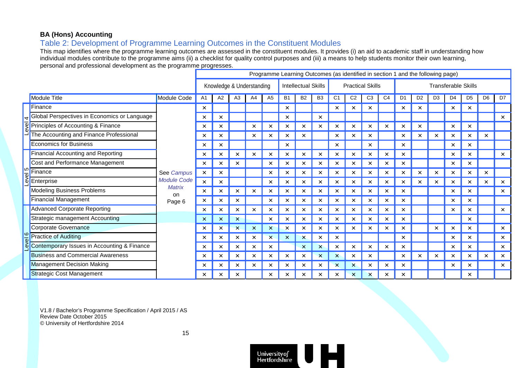#### **BA (Hons) Accounting**

### Table 2: Development of Programme Learning Outcomes in the Constituent Modules

This map identifies where the programme learning outcomes are assessed in the constituent modules. It provides (i) an aid to academic staff in understanding how individual modules contribute to the programme aims (ii) a checklist for quality control purposes and (iii) a means to help students monitor their own learning, personal and professional development as the programme progresses.

|         |                                              |                                                                   | Programme Learning Outcomes (as identified in section 1 and the following page) |                           |                           |          |                            |           |                           |                           |                           |                           |                |                            |                |                |                |          |                |                |                       |
|---------|----------------------------------------------|-------------------------------------------------------------------|---------------------------------------------------------------------------------|---------------------------|---------------------------|----------|----------------------------|-----------|---------------------------|---------------------------|---------------------------|---------------------------|----------------|----------------------------|----------------|----------------|----------------|----------|----------------|----------------|-----------------------|
|         |                                              | Knowledge & Understanding                                         |                                                                                 |                           |                           |          | <b>Intellectual Skills</b> |           |                           | <b>Practical Skills</b>   |                           |                           |                | <b>Transferable Skills</b> |                |                |                |          |                |                |                       |
|         | <b>Module Title</b>                          | <b>Module Code</b>                                                | A <sub>1</sub>                                                                  | A2                        | A <sub>3</sub>            | A4       | A <sub>5</sub>             | <b>B1</b> | <b>B2</b>                 | <b>B3</b>                 | C <sub>1</sub>            | C <sub>2</sub>            | C <sub>3</sub> | C <sub>4</sub>             | D <sub>1</sub> | D <sub>2</sub> | D <sub>3</sub> | D4       | D <sub>5</sub> | D <sub>6</sub> | D7                    |
|         | Finance                                      |                                                                   | $\times$                                                                        |                           |                           |          |                            | ×         |                           |                           | $\times$                  | ×                         | ×              |                            | ×              |                |                | ×        | ×              |                |                       |
|         | Global Perspectives in Economics or Language |                                                                   | $\times$                                                                        | $\times$                  |                           |          |                            | ×         |                           | $\times$                  |                           |                           |                |                            |                |                |                |          |                |                | $\boldsymbol{\times}$ |
| 회       | Principles of Accounting & Finance           |                                                                   | ×                                                                               | $\times$                  |                           | ×        | ×                          | ×         | ×                         | ×                         | $\times$                  | ×                         | ×              | $\times$                   | ×              | ×              |                | ×        | ×              |                |                       |
|         | The Accounting and Finance Professional      |                                                                   | $\times$                                                                        | $\times$                  |                           | ×        |                            | ×         |                           |                           | ×                         | ×                         | ×              |                            | ×              |                |                | ×.       | ×              |                |                       |
|         | <b>Economics for Business</b>                |                                                                   | $\times$                                                                        | $\times$                  |                           |          |                            | ×         |                           |                           | $\times$                  |                           | $\times$       |                            | $\times$       |                |                | ×        | $\times$       |                |                       |
| ام<br>ا | <b>Financial Accounting and Reporting</b>    |                                                                   | ×                                                                               | $\times$                  | ×                         | ×        | ×                          | ×         | ×                         | ×                         | $\times$                  | $\times$                  | ×              | $\times$                   | $\times$       |                |                | ×        | ×              |                | $\times$              |
|         | Cost and Performance Management              |                                                                   | $\times$                                                                        | $\times$                  |                           |          |                            |           | ×                         | ×                         | $\times$                  | ×                         | ×              |                            | ×              |                |                | ×.       | $\times$       |                |                       |
|         | Finance                                      | See Campus<br><b>Module Code</b><br><b>Matrix</b><br>on<br>Page 6 | $\boldsymbol{\times}$                                                           | $\times$                  |                           |          | ×                          | ×         | $\times$                  | $\times$                  | $\times$                  | $\times$                  | ×              | $\times$                   | $\times$       | $\times$       | $\times$       | ×        | ×              | ×              |                       |
|         | Enterprise                                   |                                                                   |                                                                                 | $\times$                  | $\times$                  |          |                            | ×         | $\times$                  | $\times$                  | $\times$                  | $\times$                  | $\times$       | $\times$                   | $\times$       | $\times$       | $\times$       | $\times$ | $\times$       | $\times$       | $\times$              |
|         | <b>Modeling Business Problems</b>            |                                                                   | $\times$                                                                        | $\times$                  | $\times$                  | ×        | ×                          |           | ×                         | ×                         | $\times$                  | ×                         | ×              | ×                          | ×              |                |                | ×        | $\times$       |                | $\times$              |
|         | <b>Financial Management</b>                  |                                                                   | $\times$                                                                        | $\times$                  | $\times$                  |          | ×                          | ×         | $\times$                  | $\pmb{\times}$            | $\times$                  | $\times$                  | ×              | $\times$                   | $\times$       |                |                | ×        | ×              |                |                       |
|         | <b>Advanced Corporate Reporting</b>          |                                                                   | $\times$                                                                        | $\times$                  | $\times$                  | $\times$ | $\times$                   | $\times$  | $\times$                  | $\times$                  | $\times$                  | $\times$                  | $\times$       | $\times$                   | $\times$       |                |                | $\times$ | $\times$       |                | $\times$              |
|         | Strategic management Accounting              |                                                                   | $\times$                                                                        | $\boldsymbol{\mathsf{x}}$ | $\boldsymbol{\mathsf{x}}$ |          | ×                          |           | $\times$                  | ×                         | ×                         | ×                         | ×              | ×                          | ×              |                |                |          | ×              |                |                       |
|         | Corporate Governance                         |                                                                   | $\times$                                                                        | $\overline{\mathsf{x}}$   | $\boldsymbol{\mathsf{x}}$ | $\times$ | ×                          | ×         | $\times$                  | $\times$                  | $\times$                  | $\times$                  | ×              | $\times$                   | ×              |                | $\times$       |          | $\times$       |                | $\boldsymbol{\times}$ |
| evel 6  | <b>Practice of Auditing</b>                  |                                                                   | ×                                                                               | $\times$                  | $\times$                  | $\times$ | $\boldsymbol{\times}$      | $\times$  | $\boldsymbol{\mathsf{x}}$ | ×                         | $\times$                  |                           |                |                            | $\times$       |                |                | $\times$ | $\times$       |                | $\times$              |
|         | Contemporary Issues in Accounting & Finance  |                                                                   | $\times$                                                                        | $\times$                  | $\times$                  | ×        |                            |           | $\times$                  | $\times$                  | $\times$                  | $\times$                  | ×              | ×                          | ×              |                |                | ×        | ×              |                | $\times$              |
|         | <b>Business and Commercial Awareness</b>     |                                                                   | $\times$                                                                        | $\times$                  | $\times$                  | $\times$ | ×                          | ×         | $\times$                  | $\boldsymbol{\mathsf{x}}$ | $\boldsymbol{\mathsf{x}}$ | $\times$                  | ×              |                            | $\times$       |                | $\times$       | ×        | ×              | ×              | $\times$              |
|         | <b>Management Decision Making</b>            |                                                                   | ×                                                                               | $\times$                  | $\times$                  | $\times$ | $\times$                   | $\times$  | $\times$                  | ×                         | $\boldsymbol{\times}$     | $\boldsymbol{\mathsf{x}}$ | $\times$       | $\times$                   | $\times$       |                |                | $\times$ | ×              |                | $\times$              |
|         | <b>Strategic Cost Management</b>             |                                                                   | ×                                                                               | $\times$                  | $\times$                  |          | ×                          | ×         | $\times$                  | ×                         | $\times$                  | $\times$                  | ×              | $\times$                   | ×              |                |                |          | ×              |                |                       |

V1.8 / Bachelor's Programme Specification / April 2015 / AS Review Date October 2015 © University of Hertfordshire 2014



15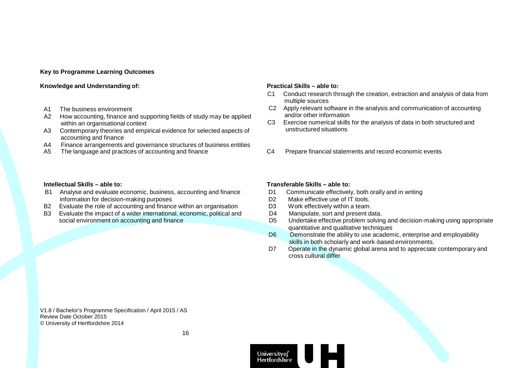#### **Key to Programme Learning Outcomes**

#### **Knowledge** and Understanding of: *Practical* **Skills – able to:**

- A1 The business environment<br>A2 How accounting, finance are
- How accounting, finance and supporting fields of study may be applied within an organisational context
- A3 Contemporary theories and empirical evidence for selected aspects of accounting and finance
- A4 Finance arrangements and governance structures of business entities<br>A5 The language and practices of accounting and finance
- 

- C1 Conduct research through the creation, extraction and analysis of data from multiple sources
- C2 Apply relevant software in the analysis and communication of accounting and/or other information
- C3 Exercise numerical skills for the analysis of data in both structured and unstructured situations
- C4 Prepare financial statements and record economic events

- B1 Analyse and evaluate economic, business, accounting and finance information for decision-making purposes
- B2 Evaluate the role of accounting and finance within an organisation
- B3 Evaluate the impact of a wider international, economic, political and social environment on accounting and finance

#### **Intellectual Skills – able to: Transferable Skills – able to:**

- D1 Communicate effectively, both orally and in writing
- D2 Make effective use of IT tools.
- D3 Work effectively within a team.
- D4 Manipulate, sort and present data.
- D5 Undertake effective problem solving and decision-making using appropriate quantitative and qualitative techniques
- D6 Demonstrate the ability to use academic, enterprise and employability skills in both scholarly and work-based environments.
- D7 Operate in the dynamic global arena and to appreciate contemporary and cross cultural differ

V1.8 / Bachelor's Programme Specification / April 2015 / AS Review Date October 2015 © University of Hertfordshire 2014



16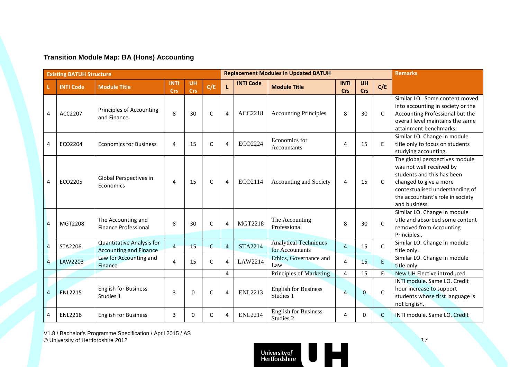#### **Transition Module Map: BA (Hons) Accounting**

|                | <b>Existing BATUH Structure</b> |                                                                   |                           |                         |              |                       |                  | <b>Replacement Modules in Updated BATUH</b>     | <b>Remarks</b>            |                         |              |                                                                                                                                                                                                            |
|----------------|---------------------------------|-------------------------------------------------------------------|---------------------------|-------------------------|--------------|-----------------------|------------------|-------------------------------------------------|---------------------------|-------------------------|--------------|------------------------------------------------------------------------------------------------------------------------------------------------------------------------------------------------------------|
|                | <b>INTI Code</b>                | <b>Module Title</b>                                               | <b>INTI</b><br><b>Crs</b> | <b>UH</b><br><b>Crs</b> | C/E          | $\mathbf{L}$          | <b>INTI Code</b> | <b>Module Title</b>                             | <b>INTI</b><br><b>Crs</b> | <b>UH</b><br><b>Crs</b> | C/E          |                                                                                                                                                                                                            |
| 4              | ACC2207                         | Principles of Accounting<br>and Finance                           | 8                         | 30                      | $\mathsf{C}$ | $\overline{4}$        | ACC2218          | <b>Accounting Principles</b>                    | 8                         | 30                      | C            | Similar LO. Some content moved<br>into accounting in society or the<br>Accounting Professional but the<br>overall level maintains the same<br>attainment benchmarks.                                       |
| 4              | ECO2204                         | <b>Economics for Business</b>                                     | 4                         | 15                      | C            | $\overline{4}$        | ECO2224          | Economics for<br>Accountants                    | 4                         | 15                      | E            | Similar LO. Change in module<br>title only to focus on students<br>studying accounting.                                                                                                                    |
| 4              | ECO2205                         | Global Perspectives in<br>Economics                               | $\overline{4}$            | 15                      | C            | $\overline{4}$        | ECO2114          | Accounting and Society                          | 4                         | 15                      | C            | The global perspectives module<br>was not well received by<br>students and this has been<br>changed to give a more<br>contextualised understanding of<br>the accountant's role in society<br>and business. |
| $\overline{4}$ | MGT2208                         | The Accounting and<br><b>Finance Professional</b>                 | 8                         | 30                      | C            | $\boldsymbol{\Delta}$ | <b>MGT2218</b>   | The Accounting<br>Professional                  | 8                         | 30                      | $\mathsf{C}$ | Similar LO. Change in module<br>title and absorbed some content<br>removed from Accounting<br>Principles                                                                                                   |
| $\overline{4}$ | STA2206                         | <b>Quantitative Analysis for</b><br><b>Accounting and Finance</b> | $\overline{4}$            | 15                      | C            | $\overline{4}$        | <b>STA2214</b>   | <b>Analytical Techniques</b><br>for Accountants | $\overline{4}$            | 15                      | C            | Similar LO. Change in module<br>title only.                                                                                                                                                                |
| $\overline{4}$ | LAW2203                         | Law for Accounting and<br>Finance                                 | 4                         | 15                      | C            | $\overline{4}$        | LAW2214          | Ethics, Governance and<br>Law                   | 4                         | 15                      | $\mathsf E$  | Similar LO. Change in module<br>title only.                                                                                                                                                                |
|                |                                 |                                                                   |                           |                         |              | 4                     |                  | Principles of Marketing                         | 4                         | 15                      | E            | New UH Elective introduced.                                                                                                                                                                                |
| 4              | <b>ENL2215</b>                  | <b>English for Business</b><br>Studies 1                          | 3                         | 0                       | C            | $\overline{4}$        | <b>ENL2213</b>   | <b>English for Business</b><br>Studies 1        | $\overline{a}$            | $\mathbf{0}$            | $\mathsf{C}$ | INTI module. Same LO. Credit<br>hour increase to support<br>students whose first language is<br>not English.                                                                                               |
| 4              | <b>ENL2216</b>                  | <b>English for Business</b>                                       | $\overline{3}$            | 0                       | C            | 4                     | <b>ENL2214</b>   | <b>English for Business</b><br>Studies 2        | 4                         | $\Omega$                | $\mathsf{C}$ | INTI module. Same LO. Credit                                                                                                                                                                               |

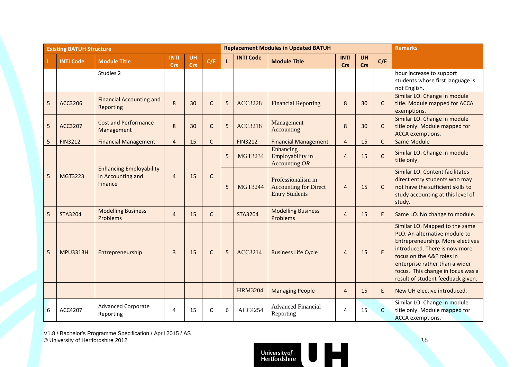| <b>Existing BATUH Structure</b> |                  |                                                                |                           |                         |              |   |                  | <b>Replacement Modules in Updated BATUH</b>                                 | <b>Remarks</b>            |                  |              |                                                                                                                                                                                                                                                                               |
|---------------------------------|------------------|----------------------------------------------------------------|---------------------------|-------------------------|--------------|---|------------------|-----------------------------------------------------------------------------|---------------------------|------------------|--------------|-------------------------------------------------------------------------------------------------------------------------------------------------------------------------------------------------------------------------------------------------------------------------------|
|                                 | <b>INTI Code</b> | <b>Module Title</b>                                            | <b>INTI</b><br><b>Crs</b> | <b>UH</b><br><b>Crs</b> | C/E          | L | <b>INTI Code</b> | <b>Module Title</b>                                                         | <b>INTI</b><br><b>Crs</b> | <b>UH</b><br>Crs | C/E          |                                                                                                                                                                                                                                                                               |
|                                 |                  | Studies 2                                                      |                           |                         |              |   |                  |                                                                             |                           |                  |              | hour increase to support<br>students whose first language is<br>not English.                                                                                                                                                                                                  |
| 5                               | ACC3206          | <b>Financial Accounting and</b><br>Reporting                   | 8                         | 30                      | $\mathsf{C}$ | 5 | <b>ACC3228</b>   | <b>Financial Reporting</b>                                                  | 8                         | 30               | C            | Similar LO. Change in module<br>title. Module mapped for ACCA<br>exemptions.                                                                                                                                                                                                  |
| 5                               | ACC3207          | <b>Cost and Performance</b><br>Management                      | 8                         | 30                      | $\mathsf C$  | 5 | <b>ACC3218</b>   | Management<br>Accounting                                                    | 8                         | 30               | $\mathsf{C}$ | Similar LO. Change in module<br>title only. Module mapped for<br>ACCA exemptions.                                                                                                                                                                                             |
| 5                               | <b>FIN3212</b>   | <b>Financial Management</b>                                    | $\overline{4}$            | 15                      | $\mathsf{C}$ |   | <b>FIN3212</b>   | <b>Financial Management</b>                                                 | $\overline{4}$            | 15               | $\mathsf{C}$ | Same Module                                                                                                                                                                                                                                                                   |
|                                 |                  |                                                                |                           |                         |              | 5 | <b>MGT3234</b>   | Enhancing<br>Employability in<br>Accounting $OR$                            | $\overline{4}$            | 15               | $\mathsf{C}$ | Similar LO. Change in module<br>title only.                                                                                                                                                                                                                                   |
| 5                               | MGT3223          | <b>Enhancing Employability</b><br>in Accounting and<br>Finance | $\overline{4}$            | 15                      | $\mathsf{C}$ | 5 | <b>MGT3244</b>   | Professionalism in<br><b>Accounting for Direct</b><br><b>Entry Students</b> | $\overline{4}$            | 15               | $\mathsf{C}$ | Similar LO. Content facilitates<br>direct entry students who may<br>not have the sufficient skills to<br>study accounting at this level of<br>study.                                                                                                                          |
| 5                               | <b>STA3204</b>   | <b>Modelling Business</b><br>Problems                          | $\overline{4}$            | 15                      | $\mathsf{C}$ |   | <b>STA3204</b>   | <b>Modelling Business</b><br>Problems                                       | $\overline{4}$            | 15               | E            | Same LO. No change to module.                                                                                                                                                                                                                                                 |
| 5                               | <b>MPU3313H</b>  | Entrepreneurship                                               | $\overline{3}$            | 15                      | $\mathsf{C}$ | 5 | <b>ACC3214</b>   | <b>Business Life Cycle</b>                                                  | $\overline{4}$            | 15               | $\mathsf E$  | Similar LO. Mapped to the same<br>PLO. An alternative module to<br>Entrepreneurship. More electives<br>introduced. There is now more<br>focus on the A&F roles in<br>enterprise rather than a wider<br>focus. This change in focus was a<br>result of student feedback given. |
|                                 |                  |                                                                |                           |                         |              |   | <b>HRM3204</b>   | <b>Managing People</b>                                                      | $\overline{4}$            | 15               | E.           | New UH elective introduced.                                                                                                                                                                                                                                                   |
| 6                               | ACC4207          | <b>Advanced Corporate</b><br>Reporting                         | 4                         | 15                      | $\mathsf{C}$ | 6 | <b>ACC4254</b>   | <b>Advanced Financial</b><br>Reporting                                      | $\overline{a}$            | 15               | $\mathsf{C}$ | Similar LO. Change in module<br>title only. Module mapped for<br>ACCA exemptions.                                                                                                                                                                                             |

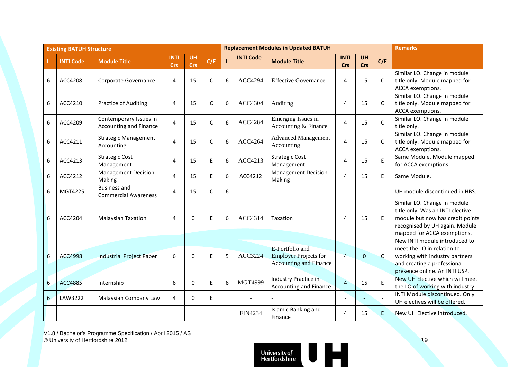| <b>Existing BATUH Structure</b> |                  |                                                    |                           |                         |              |   |                  | <b>Replacement Modules in Updated BATUH</b>                                      | <b>Remarks</b>            |                  |                |                                                                                                                                                                       |
|---------------------------------|------------------|----------------------------------------------------|---------------------------|-------------------------|--------------|---|------------------|----------------------------------------------------------------------------------|---------------------------|------------------|----------------|-----------------------------------------------------------------------------------------------------------------------------------------------------------------------|
|                                 | <b>INTI Code</b> | <b>Module Title</b>                                | <b>INTI</b><br><b>Crs</b> | <b>UH</b><br><b>Crs</b> | C/E          | L | <b>INTI Code</b> | <b>Module Title</b>                                                              | <b>INTI</b><br><b>Crs</b> | <b>UH</b><br>Crs | C/E            |                                                                                                                                                                       |
| 6                               | ACC4208          | Corporate Governance                               | 4                         | 15                      | $\mathsf{C}$ | 6 | <b>ACC4294</b>   | <b>Effective Governance</b>                                                      | 4                         | 15               | C              | Similar LO. Change in module<br>title only. Module mapped for<br>ACCA exemptions.                                                                                     |
| 6                               | ACC4210          | Practice of Auditing                               | 4                         | 15                      | $\mathsf C$  | 6 | <b>ACC4304</b>   | Auditing                                                                         | 4                         | 15               | C              | Similar LO. Change in module<br>title only. Module mapped for<br>ACCA exemptions.                                                                                     |
| 6                               | ACC4209          | Contemporary Issues in<br>Accounting and Finance   | $\overline{4}$            | 15                      | $\mathsf{C}$ | 6 | <b>ACC4284</b>   | Emerging Issues in<br>Accounting & Finance                                       | 4                         | 15               | C              | Similar LO. Change in module<br>title only.                                                                                                                           |
| 6                               | ACC4211          | <b>Strategic Management</b><br>Accounting          | $\overline{\mathbf{4}}$   | 15                      | C            | 6 | <b>ACC4264</b>   | <b>Advanced Management</b><br>Accounting                                         | 4                         | 15               | C              | Similar LO. Change in module<br>title only. Module mapped for<br>ACCA exemptions.                                                                                     |
| 6                               | ACC4213          | <b>Strategic Cost</b><br>Management                | 4                         | 15                      | E            | 6 | ACC4213          | <b>Strategic Cost</b><br>Management                                              | 4                         | 15               | E              | Same Module. Module mapped<br>for ACCA exemptions.                                                                                                                    |
| 6                               | ACC4212          | <b>Management Decision</b><br>Making               | 4                         | 15                      | E            | 6 | ACC4212          | <b>Management Decision</b><br>Making                                             | 4                         | 15               | E              | Same Module.                                                                                                                                                          |
| 6                               | MGT4225          | <b>Business and</b><br><b>Commercial Awareness</b> | 4                         | 15                      | $\mathsf{C}$ | 6 |                  |                                                                                  |                           |                  | $\overline{a}$ | UH module discontinued in HBS.                                                                                                                                        |
| 6                               | ACC4204          | <b>Malaysian Taxation</b>                          | $\overline{4}$            | $\Omega$                | E            | 6 | ACC4314          | Taxation                                                                         | 4                         | 15               | E              | Similar LO. Change in module<br>title only. Was an INTI elective<br>module but now has credit points<br>recognised by UH again. Module<br>mapped for ACCA exemptions. |
| 6                               | <b>ACC4998</b>   | <b>Industrial Project Paper</b>                    | 6                         | 0                       | E            | 5 | <b>ACC3224</b>   | E-Portfolio and<br><b>Employer Projects for</b><br><b>Accounting and Finance</b> | $\overline{4}$            | $\mathbf{0}$     | C              | New INTI module introduced to<br>meet the LO in relation to<br>working with industry partners<br>and creating a professional<br>presence online. An INTI USP.         |
| 6                               | <b>ACC4885</b>   | Internship                                         | 6                         | 0                       | E            | 6 | MGT4999          | <b>Industry Practice in</b><br><b>Accounting and Finance</b>                     | $\overline{4}$            | 15               | E              | New UH Elective which will meet<br>the LO of working with industry.                                                                                                   |
| 6                               | LAW3222          | Malaysian Company Law                              | 4                         | 0                       | E            |   |                  |                                                                                  |                           |                  |                | INTI Module discontinued. Only<br>UH electives will be offered.                                                                                                       |
|                                 |                  |                                                    |                           |                         |              |   | <b>FIN4234</b>   | Islamic Banking and<br>Finance                                                   | $\overline{4}$            | 15               | E.             | New UH Elective introduced.                                                                                                                                           |